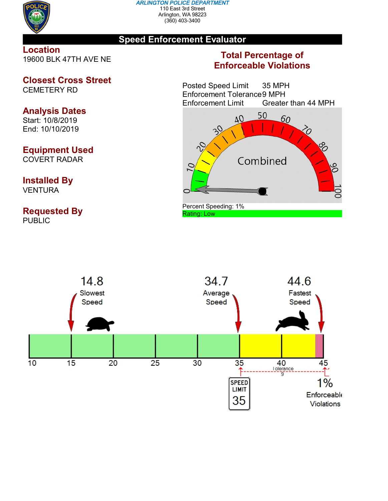

#### *ARLINGTON POLICE DEPARTMENT* 110 East 3rd Street Arlington, WA 98223 (360) 403-3400

### **Speed Enforcement Evaluator**

**Location** 19600 BLK 47TH AVE NE

# **Closest Cross Street**

CEMETERY RD

## **Analysis Dates**

Start: 10/8/2019 End: 10/10/2019

# **Equipment Used**

COVERT RADAR

### **Installed By** VENTURA

**Requested By PUBLIC** 

## **Total Percentage of Enforceable Violations**

Posted Speed Limit 35 MPH Enforcement Tolerance9 MPH Enforcement Limit Greater than 44 MPH